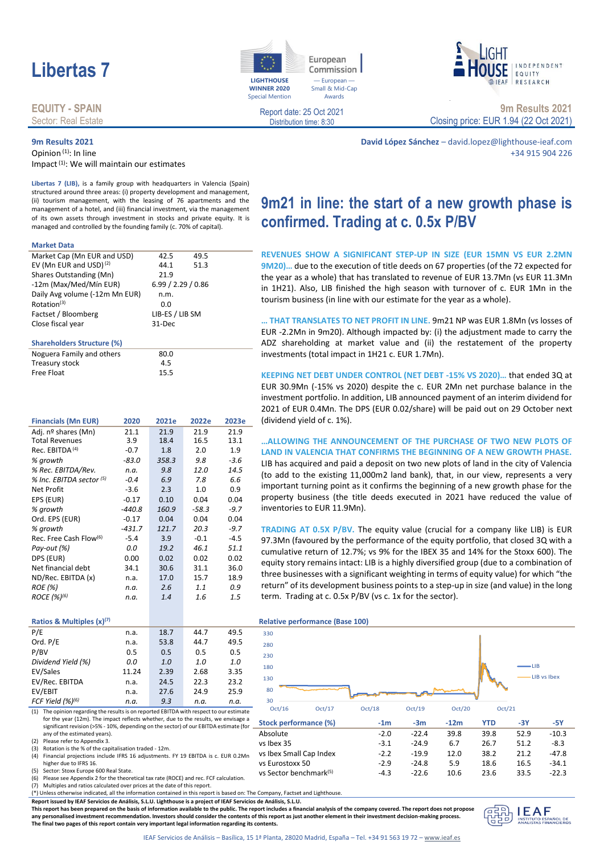# **Libertas 7 Libertas 7 Libertas 1**

### **EQUITY - SPAIN** Sector: Real Estate

## **9m Results 2021**

Opinion (1): In line Impact<sup>(1)</sup>: We will maintain our estimates

**WINNER 2020** Special Mention

European Commission I — European — Small & Mid-Cap Awards

NDFPFNDFNT EQUITY RESEARCH

Report date: 25 Oct 2021 Distribution time: 8:30

**9m Results 2021** Closing price: EUR 1.94 (22 Oct 2021)

**David López Sánchez** – david.lopez@lighthouse-ieaf.com +34 915 904 226

**Libertas 7 (LIB),** is a family group with headquarters in Valencia (Spain) structured around three areas: (i) property development and management, (ii) tourism management, with the leasing of 76 apartments and the management of a hotel, and (iii) financial investment, via the management of its own assets through investment in stocks and private equity. It is managed and controlled by the founding family (c. 70% of capital).

#### **Market Data**

| Market Cap (Mn EUR and USD)        | 42.5               | 49.5 |  |
|------------------------------------|--------------------|------|--|
| EV (Mn EUR and USD) <sup>(2)</sup> | 44.1               | 51.3 |  |
| Shares Outstanding (Mn)            | 21.9               |      |  |
| -12m (Max/Med/Mín EUR)             | 6.99 / 2.29 / 0.86 |      |  |
| Daily Avg volume (-12m Mn EUR)     | n.m.               |      |  |
| Rotation <sup>(3)</sup>            | 0.0                |      |  |
| Factset / Bloomberg                | LIB-ES / LIB SM    |      |  |
| Close fiscal year                  | 31-Dec             |      |  |
|                                    |                    |      |  |

#### **Shareholders Structure (%)**

| .                         |      |  |
|---------------------------|------|--|
| Noguera Family and others | 80.0 |  |
| Treasury stock            | 4.5  |  |
| Free Float                | 15.5 |  |
|                           |      |  |

| <b>Financials (Mn EUR)</b>         | 2020     | 2021e | 2022e   | 2023e  |
|------------------------------------|----------|-------|---------|--------|
| Adj. nº shares (Mn)                | 21.1     | 21.9  | 21.9    | 21.9   |
| <b>Total Revenues</b>              | 3.9      | 18.4  | 16.5    | 13.1   |
| Rec. EBITDA <sup>(4)</sup>         | $-0.7$   | 1.8   | 2.0     | 1.9    |
| % growth                           | $-83.0$  | 358.3 | 9.8     | $-3.6$ |
| % Rec. EBITDA/Rev.                 | n.a.     | 9.8   | 12.0    | 14.5   |
| % Inc. EBITDA sector (5)           | $-0.4$   | 6.9   | 7.8     | 6.6    |
| Net Profit                         | $-3.6$   | 2.3   | 1.0     | 0.9    |
| EPS (EUR)                          | $-0.17$  | 0.10  | 0.04    | 0.04   |
| % growth                           | $-440.8$ | 160.9 | $-58.3$ | $-9.7$ |
| Ord. EPS (EUR)                     | $-0.17$  | 0.04  | 0.04    | 0.04   |
| % growth                           | $-431.7$ | 121.7 | 20.3    | $-9.7$ |
| Rec. Free Cash Flow <sup>(6)</sup> | $-5.4$   | 3.9   | $-0.1$  | $-4.5$ |
| Pay-out (%)                        | 0.0      | 19.2  | 46.1    | 51.1   |
| DPS (EUR)                          | 0.00     | 0.02  | 0.02    | 0.02   |
| Net financial debt                 | 34.1     | 30.6  | 31.1    | 36.0   |
| ND/Rec. EBITDA (x)                 | n.a.     | 17.0  | 15.7    | 18.9   |
| <b>ROE</b> (%)                     | n.a.     | 2.6   | 1.1     | 0.9    |
| ROCE (%) <sup>(6)</sup>            | n.a.     | 1.4   | 1.6     | 1.5    |
|                                    |          |       |         |        |
|                                    |          |       |         |        |

### **Ratios & Multiples (x)(7) Relative performance (Base 100)**

| P/E                   | n.a.  | 18.7 | 44.7 | 49.5 | 330 |
|-----------------------|-------|------|------|------|-----|
| Ord. P/E              | n.a.  | 53.8 | 44.7 | 49.5 | 280 |
| P/BV                  | 0.5   | 0.5  | 0.5  | 0.5  | 230 |
| Dividend Yield (%)    | 0.0   | 1.0  | 1.0  | 1.0  | 180 |
| EV/Sales              | 11.24 | 2.39 | 2.68 | 3.35 |     |
| EV/Rec. EBITDA        | n.a.  | 24.5 | 22.3 | 23.2 | 130 |
| EV/EBIT               | n.a.  | 27.6 | 24.9 | 25.9 | 80  |
| FCF Yield $(%)^{(6)}$ | n.a.  | 9.3  | n.a. | n.a. | 30  |
|                       |       |      |      |      |     |

(1) The opinion regarding the results is on reported EBITDA with respect to our estimate for the year (12m). The impact reflects whether, due to the results, we envisage a significant revision (>5% - 10%, depending on the sector) of our EBITDA estimate (for  $\equiv$ any of the estimated years).

(2) Please refer to Appendix 3.<br>(3) Rotation is the % of the cap

Rotation is the % of the capitalisation traded - 12m.

(4) Financial projections include IFRS 16 adjustments. FY 19 EBITDA is c. EUR 0.2Mn higher due to IFRS 16.

(5) Sector: Stoxx Europe 600 Real State.

(6) Please see Appendix 2 for the theoretical tax rate (ROCE) and rec. FCF calculation. (7) Multiples and ratios calculated over prices at the date of this report.

(\*) Unless otherwise indicated, all the information contained in this report is based on: The Company, Factset and Lighthouse.

**Report issued by IEAF Servicios de Análisis, S.L.U. Lighthouse is a project of IEAF Servicios de Análisis, S.L.U.**

**This report has been prepared on the basis of information available to the public. The report includes a financial analysis of the company covered. The report does not propose any personalised investment recommendation. Investors should consider the contents of this report as just another element in their investment decision-making process. The final two pages of this report contain very important legal information regarding its contents.**



LIB LIB vs Ibex

vs Sector benchmark(5)

230 280

| 80                     |                         |        |                  |        |            |        |         |
|------------------------|-------------------------|--------|------------------|--------|------------|--------|---------|
| 30<br>Oct/16<br>Oct/17 |                         | Oct/18 | Oct/19<br>Oct/20 |        |            | Oct/21 |         |
|                        | Stock performance (%)   | $-1m$  | $-3m$            | $-12m$ | <b>YTD</b> | -3Y    | -5Y     |
| Absolute               |                         | $-2.0$ | $-22.4$          | 39.8   | 39.8       | 52.9   | $-10.3$ |
| vs Ibex 35             |                         | $-3.1$ | $-24.9$          | 6.7    | 26.7       | 51.2   | $-8.3$  |
|                        | vs Ibex Small Cap Index | $-2.2$ | $-19.9$          | 12.0   | 38.2       | 21.2   | $-47.8$ |
| vs Eurostoxx 50        |                         | $-2.9$ | $-24.8$          | 5.9    | 18.6       | 16.5   | $-34.1$ |

-4.3 -22.6 10.6 23.6 33.5 -22.3



**REVENUES SHOW A SIGNIFICANT STEP-UP IN SIZE (EUR 15MN VS EUR 2.2MN 9M20)…** due to the execution of title deeds on 67 properties (of the 72 expected for the year as a whole) that has translated to revenue of EUR 13.7Mn (vs EUR 11.3Mn in 1H21). Also, LIB finished the high season with turnover of c. EUR 1Mn in the tourism business (in line with our estimate for the year as a whole).

**… THAT TRANSLATES TO NET PROFIT IN LINE.** 9m21 NP was EUR 1.8Mn (vs losses of EUR -2.2Mn in 9m20). Although impacted by: (i) the adjustment made to carry the ADZ shareholding at market value and (ii) the restatement of the property investments (total impact in 1H21 c. EUR 1.7Mn).

**KEEPING NET DEBT UNDER CONTROL (NET DEBT -15% VS 2020)…** that ended 3Q at EUR 30.9Mn (-15% vs 2020) despite the c. EUR 2Mn net purchase balance in the investment portfolio. In addition, LIB announced payment of an interim dividend for 2021 of EUR 0.4Mn. The DPS (EUR 0.02/share) will be paid out on 29 October next (dividend yield of c. 1%).

**…ALLOWING THE ANNOUNCEMENT OF THE PURCHASE OF TWO NEW PLOTS OF LAND IN VALENCIA THAT CONFIRMS THE BEGINNING OF A NEW GROWTH PHASE.**  LIB has acquired and paid a deposit on two new plots of land in the city of Valencia (to add to the existing 11,000m2 land bank), that, in our view, represents a very important turning point as it confirms the beginning of a new growth phase for the property business (the title deeds executed in 2021 have reduced the value of inventories to EUR 11.9Mn).

**TRADING AT 0.5X P/BV.** The equity value (crucial for a company like LIB) is EUR 97.3Mn (favoured by the performance of the equity portfolio, that closed 3Q with a cumulative return of 12.7%; vs 9% for the IBEX 35 and 14% for the Stoxx 600). The equity story remains intact: LIB is a highly diversified group (due to a combination of three businesses with a significant weighting in terms of equity value) for which "the return" of its development business points to a step-up in size (and value) in the long term. Trading at c. 0.5x P/BV (vs c. 1x for the sector).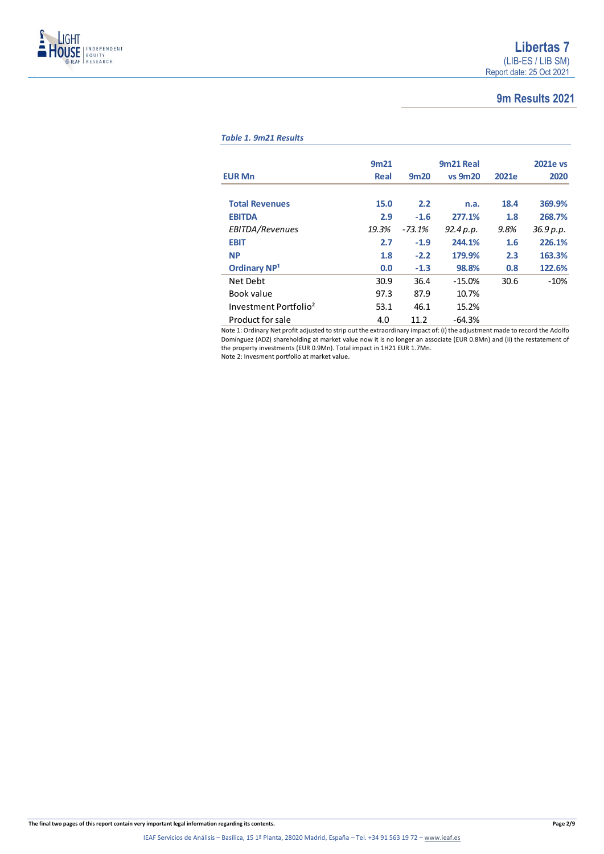

## **9m Results 2021**

### *Table 1. 9m21 Results*

|                                   | 9m <sub>21</sub> |          | 9m21 Real      |       | <b>2021e vs</b> |
|-----------------------------------|------------------|----------|----------------|-------|-----------------|
|                                   |                  |          |                |       |                 |
| <b>EUR Mn</b>                     | Real             | 9m20     | <b>vs 9m20</b> | 2021e | 2020            |
|                                   |                  |          |                |       |                 |
| <b>Total Revenues</b>             | 15.0             | 2.2      | n.a.           | 18.4  | 369.9%          |
| <b>EBITDA</b>                     | 2.9              | $-1.6$   | 277.1%         | 1.8   | 268.7%          |
| EBITDA/Revenues                   | 19.3%            | $-73.1%$ | 92.4 p.p.      | 9.8%  | 36.9 p.p.       |
| <b>EBIT</b>                       | 2.7              | $-1.9$   | 244.1%         | 1.6   | 226.1%          |
| <b>NP</b>                         | 1.8              | $-2.2$   | 179.9%         | 2.3   | 163.3%          |
| <b>Ordinary NP1</b>               | 0.0              | $-1.3$   | 98.8%          | 0.8   | 122.6%          |
| Net Debt                          | 30.9             | 36.4     | $-15.0%$       | 30.6  | $-10%$          |
| Book value                        | 97.3             | 87.9     | 10.7%          |       |                 |
| Investment Portfolio <sup>2</sup> | 53.1             | 46.1     | 15.2%          |       |                 |
| Product for sale                  | 4.0              | 11.2     | $-64.3%$       |       |                 |

Note 1: Ordinary Net profit adjusted to strip out the extraordinary impact of: (i) the adjustment made to record the Adolfo Domínguez (ADZ) shareholding at market value now it is no longer an associate (EUR 0.8Mn) and (ii) the restatement of the property investments (EUR 0.9Mn). Total impact in 1H21 EUR 1.7Mn.

Note 2: Invesment portfolio at market value.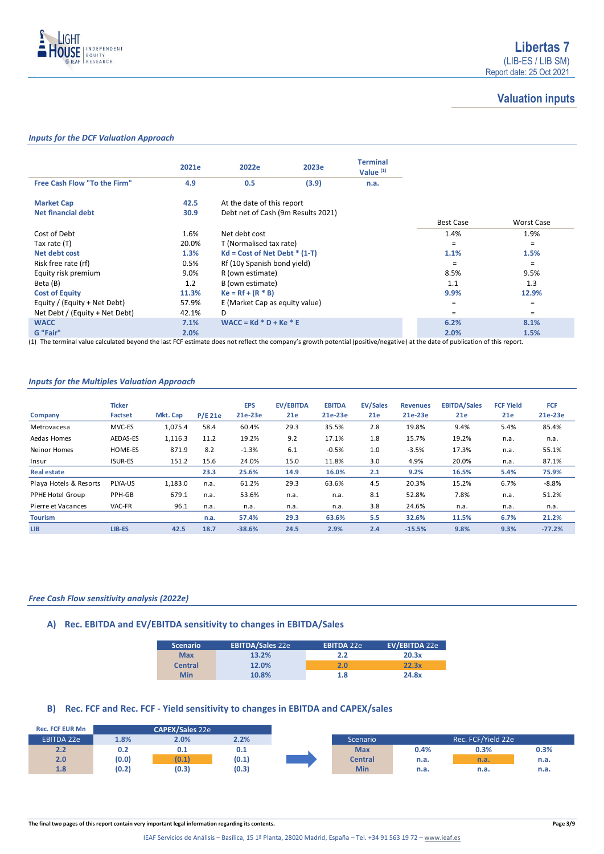

## **Valuation inputs**

### *Inputs for the DCF Valuation Approach*

|                                | 2021e | 2022e                              | 2023e | <b>Terminal</b><br>Value $(1)$ |                  |            |
|--------------------------------|-------|------------------------------------|-------|--------------------------------|------------------|------------|
| Free Cash Flow "To the Firm"   | 4.9   | 0.5                                | (3.9) | n.a.                           |                  |            |
| <b>Market Cap</b>              | 42.5  | At the date of this report         |       |                                |                  |            |
| <b>Net financial debt</b>      | 30.9  | Debt net of Cash (9m Results 2021) |       |                                |                  |            |
|                                |       |                                    |       |                                | <b>Best Case</b> | Worst Case |
| Cost of Debt                   | 1.6%  | Net debt cost                      |       |                                | 1.4%             | 1.9%       |
| Tax rate (T)                   | 20.0% | T (Normalised tax rate)            |       | $=$                            | $=$              |            |
| Net debt cost                  | 1.3%  | $Kd = Cost of Net Det * (1-T)$     |       |                                | 1.1%             | 1.5%       |
| Risk free rate (rf)            | 0.5%  | Rf (10y Spanish bond yield)        |       |                                | $\equiv$         | $=$        |
| Equity risk premium            | 9.0%  | R (own estimate)                   |       |                                | 8.5%             | 9.5%       |
| Beta (B)                       | 1.2   | B (own estimate)                   |       |                                | 1.1              | 1.3        |
| <b>Cost of Equity</b>          | 11.3% | $Ke = Rf + (R * B)$                |       |                                | 9.9%             | 12.9%      |
| Equity / (Equity + Net Debt)   | 57.9% | E (Market Cap as equity value)     |       |                                | $=$              | $\equiv$   |
| Net Debt / (Equity + Net Debt) | 42.1% | D                                  |       |                                | =                | $=$        |
| <b>WACC</b>                    | 7.1%  | $WACC = Kd * D + Ke * E$           |       |                                | 6.2%             | 8.1%       |
| G "Fair"                       | 2.0%  |                                    |       |                                | 2.0%             | 1.5%       |

(1) The terminal value calculated beyond the last FCF estimate does not reflect the company's growth potential (positive/negative) at the date of publication of this report.

### *Inputs for the Multiples Valuation Approach*

| Company                | <b>Ticker</b><br>Factset | Mkt. Cap | <b>P/E 21e</b> | <b>EPS</b><br>21e-23e | <b>EV/EBITDA</b><br>21e | <b>EBITDA</b><br>21e-23e | <b>EV/Sales</b><br>21e | <b>Revenues</b><br>21e-23e | <b>EBITDA/Sales</b><br>21e | <b>FCF Yield</b><br>21e | <b>FCF</b><br>21e-23e |
|------------------------|--------------------------|----------|----------------|-----------------------|-------------------------|--------------------------|------------------------|----------------------------|----------------------------|-------------------------|-----------------------|
| Metrovacesa            | MVC-ES                   | 1,075.4  | 58.4           | 60.4%                 | 29.3                    | 35.5%                    | 2.8                    | 19.8%                      | 9.4%                       | 5.4%                    | 85.4%                 |
| Aedas Homes            | AEDAS-ES                 | 1,116.3  | 11.2           | 19.2%                 | 9.2                     | 17.1%                    | 1.8                    | 15.7%                      | 19.2%                      | n.a.                    | n.a.                  |
| Neinor Homes           | HOME-ES                  | 871.9    | 8.2            | $-1.3%$               | 6.1                     | $-0.5%$                  | 1.0                    | $-3.5%$                    | 17.3%                      | n.a.                    | 55.1%                 |
| Insur                  | <b>ISUR-ES</b>           | 151.2    | 15.6           | 24.0%                 | 15.0                    | 11.8%                    | 3.0                    | 4.9%                       | 20.0%                      | n.a.                    | 87.1%                 |
| <b>Real estate</b>     |                          |          | 23.3           | 25.6%                 | 14.9                    | 16.0%                    | 2.1                    | 9.2%                       | 16.5%                      | 5.4%                    | 75.9%                 |
| Playa Hotels & Resorts | PLYA-US                  | 1,183.0  | n.a.           | 61.2%                 | 29.3                    | 63.6%                    | 4.5                    | 20.3%                      | 15.2%                      | 6.7%                    | $-8.8%$               |
| PPHE Hotel Group       | PPH-GB                   | 679.1    | n.a.           | 53.6%                 | n.a.                    | n.a.                     | 8.1                    | 52.8%                      | 7.8%                       | n.a.                    | 51.2%                 |
| Pierre et Vacances     | VAC-FR                   | 96.1     | n.a.           | n.a.                  | n.a.                    | n.a.                     | 3.8                    | 24.6%                      | n.a.                       | n.a.                    | n.a.                  |
| <b>Tourism</b>         |                          |          | n.a.           | 57.4%                 | 29.3                    | 63.6%                    | 5.5                    | 32.6%                      | 11.5%                      | 6.7%                    | 21.2%                 |
| <b>LIB</b>             | LIB-ES                   | 42.5     | 18.7           | $-38.6%$              | 24.5                    | 2.9%                     | 2.4                    | $-15.5%$                   | 9.8%                       | 9.3%                    | $-77.2%$              |

### *Free Cash Flow sensitivity analysis (2022e)*

### **A) Rec. EBITDA and EV/EBITDA sensitivity to changes in EBITDA/Sales**

| <b>Scenario</b> | <b>EBITDA/Sales 22e</b> | <b>EBITDA 22e</b> | EV/EBITDA 22e |
|-----------------|-------------------------|-------------------|---------------|
| <b>Max</b>      | 13.2%                   | 2.2               | 20.3x         |
| <b>Central</b>  | 12.0%                   | 2.0               | 22.3x         |
| <b>Min</b>      | 10.8%                   | 1.8               | 24.8x         |

### **B) Rec. FCF and Rec. FCF - Yield sensitivity to changes in EBITDA and CAPEX/sales**

| <b>Rec. FCF EUR Mn</b> |       | <b>CAPEX/Sales 22e</b> |       |  |                |      |                    |
|------------------------|-------|------------------------|-------|--|----------------|------|--------------------|
| <b>EBITDA 22e</b>      | 1.8%  | 2.0%                   | 2.2%  |  | Scenario       |      | Rec. FCF/Yield 22e |
| 2.2                    | 0.2   | 0.1                    | 0.1   |  | <b>Max</b>     | 0.4% | 0.3%               |
| 2.0                    | (0.0) | (0.1)                  | (0.1) |  | <b>Central</b> | n.a. | n.a.               |
| 1.8                    | (0.2) | (0.3)                  | (0.3) |  | <b>Min</b>     | n.a. | n.a.               |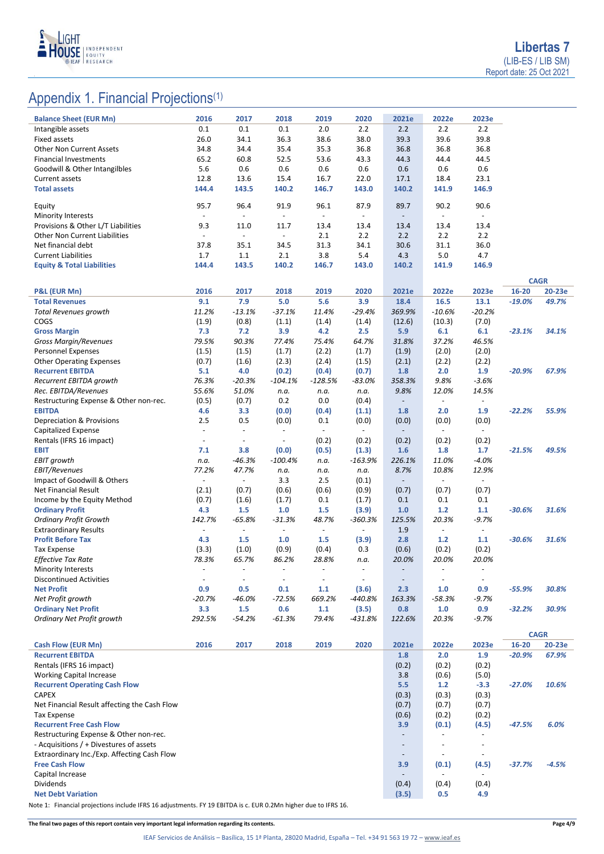

# Appendix 1. Financial Projections<sup>(1)</sup>

| <b>Balance Sheet (EUR Mn)</b>                            | 2016                     | 2017                     | 2018                     | 2019                     | 2020                     | 2021e                    | 2022e                    | 2023e                    |          |             |
|----------------------------------------------------------|--------------------------|--------------------------|--------------------------|--------------------------|--------------------------|--------------------------|--------------------------|--------------------------|----------|-------------|
| Intangible assets                                        | 0.1                      | 0.1                      | 0.1                      | 2.0                      | 2.2                      | 2.2                      | 2.2                      | 2.2                      |          |             |
| <b>Fixed assets</b>                                      | 26.0                     | 34.1                     | 36.3                     | 38.6                     | 38.0                     | 39.3                     | 39.6                     | 39.8                     |          |             |
| <b>Other Non Current Assets</b>                          | 34.8                     | 34.4                     | 35.4                     | 35.3                     | 36.8                     | 36.8                     | 36.8                     | 36.8                     |          |             |
| <b>Financial Investments</b>                             | 65.2                     | 60.8                     | 52.5                     | 53.6                     | 43.3                     | 44.3                     | 44.4                     | 44.5                     |          |             |
| Goodwill & Other Intangilbles                            | 5.6                      | 0.6                      | 0.6                      | 0.6                      | 0.6                      | 0.6                      | 0.6                      | 0.6                      |          |             |
| Current assets                                           | 12.8                     | 13.6                     | 15.4                     | 16.7                     | 22.0                     | 17.1                     | 18.4                     | 23.1                     |          |             |
| <b>Total assets</b>                                      | 144.4                    | 143.5                    | 140.2                    | 146.7                    | 143.0                    | 140.2                    | 141.9                    | 146.9                    |          |             |
| Equity                                                   | 95.7                     | 96.4                     | 91.9                     | 96.1                     | 87.9                     | 89.7                     | 90.2                     | 90.6                     |          |             |
| <b>Minority Interests</b>                                | $\blacksquare$           | $\blacksquare$           | $\overline{\phantom{a}}$ | $\overline{\phantom{a}}$ | $\overline{\phantom{a}}$ | $\overline{\phantom{a}}$ | $\overline{\phantom{a}}$ | $\blacksquare$           |          |             |
| Provisions & Other L/T Liabilities                       | 9.3                      | 11.0                     | 11.7                     | 13.4                     | 13.4                     | 13.4                     | 13.4                     | 13.4                     |          |             |
| <b>Other Non Current Liabilities</b>                     | $\overline{\phantom{a}}$ | $\overline{\phantom{a}}$ | $\overline{\phantom{a}}$ | 2.1                      | 2.2                      | 2.2                      | 2.2                      | 2.2                      |          |             |
| Net financial debt                                       | 37.8                     | 35.1                     | 34.5                     | 31.3                     | 34.1                     | 30.6                     | 31.1                     | 36.0                     |          |             |
| <b>Current Liabilities</b>                               | 1.7                      | 1.1                      | 2.1                      | 3.8                      | 5.4                      | 4.3                      | 5.0                      | 4.7                      |          |             |
| <b>Equity &amp; Total Liabilities</b>                    | 144.4                    | 143.5                    | 140.2                    | 146.7                    | 143.0                    | 140.2                    | 141.9                    | 146.9                    |          |             |
|                                                          |                          |                          |                          |                          |                          |                          |                          |                          |          | <b>CAGR</b> |
| P&L (EUR Mn)                                             | 2016                     | 2017                     | 2018                     | 2019                     | 2020                     | 2021e                    | 2022e                    | 2023e                    | 16-20    | 20-23e      |
| <b>Total Revenues</b>                                    | 9.1                      | 7.9                      | 5.0                      | 5.6                      | 3.9                      | 18.4                     | 16.5                     | 13.1                     | $-19.0%$ | 49.7%       |
| <b>Total Revenues growth</b>                             | 11.2%                    | $-13.1%$                 | $-37.1%$                 | 11.4%                    | $-29.4%$                 | 369.9%                   | $-10.6%$                 | $-20.2%$                 |          |             |
| COGS                                                     | (1.9)                    | (0.8)                    | (1.1)                    | (1.4)                    | (1.4)                    | (12.6)                   | (10.3)                   | (7.0)                    |          |             |
| <b>Gross Margin</b>                                      | 7.3                      | 7.2                      | 3.9                      | 4.2                      | 2.5                      | 5.9                      | 6.1                      | 6.1                      | $-23.1%$ | 34.1%       |
| Gross Margin/Revenues                                    | 79.5%                    | 90.3%                    | 77.4%                    | 75.4%                    | 64.7%                    | 31.8%                    | 37.2%                    | 46.5%                    |          |             |
| <b>Personnel Expenses</b>                                | (1.5)                    | (1.5)                    | (1.7)                    | (2.2)                    | (1.7)                    | (1.9)                    | (2.0)                    | (2.0)                    |          |             |
| <b>Other Operating Expenses</b>                          | (0.7)                    | (1.6)                    | (2.3)                    | (2.4)                    | (1.5)                    | (2.1)                    | (2.2)                    | (2.2)                    |          |             |
| <b>Recurrent EBITDA</b><br>Recurrent EBITDA growth       | 5.1<br>76.3%             | 4.0<br>$-20.3%$          | (0.2)                    | (0.4)<br>$-128.5%$       | (0.7)<br>$-83.0%$        | 1.8<br>358.3%            | 2.0<br>9.8%              | 1.9                      | $-20.9%$ | 67.9%       |
| Rec. EBITDA/Revenues                                     | 55.6%                    | 51.0%                    | $-104.1%$<br>n.a.        | n.a.                     | n.a.                     | 9.8%                     | 12.0%                    | $-3.6%$<br>14.5%         |          |             |
| Restructuring Expense & Other non-rec.                   | (0.5)                    | (0.7)                    | 0.2                      | 0.0                      | (0.4)                    | $\qquad \qquad -$        | $\overline{\phantom{a}}$ |                          |          |             |
| <b>EBITDA</b>                                            | 4.6                      | 3.3                      | (0.0)                    | (0.4)                    | (1.1)                    | 1.8                      | 2.0                      | 1.9                      | $-22.2%$ | 55.9%       |
| Depreciation & Provisions                                | 2.5                      | 0.5                      | (0.0)                    | 0.1                      | (0.0)                    | (0.0)                    | (0.0)                    | (0.0)                    |          |             |
| Capitalized Expense                                      | $\overline{\phantom{a}}$ | $\blacksquare$           | $\overline{\phantom{a}}$ | $\overline{\phantom{a}}$ | $\overline{\phantom{a}}$ | $\overline{\phantom{a}}$ | $\overline{\phantom{a}}$ | $\overline{\phantom{a}}$ |          |             |
| Rentals (IFRS 16 impact)                                 | $\blacksquare$           | $\overline{\phantom{a}}$ | $\overline{\phantom{a}}$ | (0.2)                    | (0.2)                    | (0.2)                    | (0.2)                    | (0.2)                    |          |             |
| <b>EBIT</b>                                              | 7.1                      | 3.8                      | (0.0)                    | (0.5)                    | (1.3)                    | 1.6                      | 1.8                      | 1.7                      | $-21.5%$ | 49.5%       |
| <b>EBIT growth</b>                                       | n.a.                     | $-46.3%$                 | $-100.4%$                | n.a.                     | $-163.9%$                | 226.1%                   | 11.0%                    | $-4.0%$                  |          |             |
| <b>EBIT/Revenues</b>                                     | 77.2%                    | 47.7%                    | n.a.                     | n.a.                     | n.a.                     | 8.7%                     | 10.8%                    | 12.9%                    |          |             |
| Impact of Goodwill & Others                              | $\overline{\phantom{a}}$ | $\overline{\phantom{a}}$ | 3.3                      | 2.5                      | (0.1)                    | $\overline{\phantom{a}}$ | $\overline{\phantom{a}}$ | $\overline{\phantom{a}}$ |          |             |
| Net Financial Result                                     | (2.1)                    | (0.7)                    | (0.6)                    | (0.6)                    | (0.9)                    | (0.7)<br>0.1             | (0.7)<br>0.1             | (0.7)<br>0.1             |          |             |
| Income by the Equity Method<br><b>Ordinary Profit</b>    | (0.7)<br>4.3             | (1.6)<br>1.5             | (1.7)<br>1.0             | 0.1<br>1.5               | (1.7)<br>(3.9)           | 1.0                      | $1.2$                    | 1.1                      | $-30.6%$ | 31.6%       |
| <b>Ordinary Profit Growth</b>                            | 142.7%                   | $-65.8%$                 | $-31.3%$                 | 48.7%                    | $-360.3%$                | 125.5%                   | 20.3%                    | $-9.7%$                  |          |             |
| <b>Extraordinary Results</b>                             |                          | $\overline{\phantom{a}}$ | $\overline{\phantom{a}}$ | $\blacksquare$           | $\overline{\phantom{a}}$ | 1.9                      | $\overline{\phantom{a}}$ | $\overline{\phantom{a}}$ |          |             |
| <b>Profit Before Tax</b>                                 | 4.3                      | 1.5                      | 1.0                      | 1.5                      | (3.9)                    | 2.8                      | $1.2$                    | 1.1                      | $-30.6%$ | 31.6%       |
| <b>Tax Expense</b>                                       | (3.3)                    | (1.0)                    | (0.9)                    | (0.4)                    | 0.3                      | (0.6)                    | (0.2)                    | (0.2)                    |          |             |
| Effective Tax Rate                                       | 78.3%                    | 65.7%                    | 86.2%                    | 28.8%                    | n.a.                     | 20.0%                    | 20.0%                    | 20.0%                    |          |             |
| <b>Minority Interests</b>                                | $\overline{\phantom{a}}$ | $\overline{\phantom{a}}$ | $\overline{\phantom{a}}$ |                          |                          |                          | $\overline{\phantom{a}}$ |                          |          |             |
| <b>Discontinued Activities</b>                           | $\overline{\phantom{a}}$ | $\overline{\phantom{a}}$ | $\overline{\phantom{a}}$ | $\overline{\phantom{a}}$ | $\overline{\phantom{a}}$ | $\overline{\phantom{a}}$ | $\overline{\phantom{a}}$ |                          |          |             |
| <b>Net Profit</b>                                        | 0.9                      | 0.5                      | 0.1                      | 1.1                      | (3.6)                    | 2.3                      | 1.0                      | 0.9                      | $-55.9%$ | 30.8%       |
| Net Profit growth                                        | $-20.7%$                 | $-46.0%$                 | $-72.5%$                 | 669.2%                   | $-440.8%$                | 163.3%                   | $-58.3%$                 | -9.7%                    |          |             |
| <b>Ordinary Net Profit</b><br>Ordinary Net Profit growth | 3.3<br>292.5%            | 1.5<br>$-54.2%$          | 0.6<br>$-61.3%$          | 1.1<br>79.4%             | (3.5)<br>-431.8%         | 0.8<br>122.6%            | 1.0<br>20.3%             | 0.9<br>-9.7%             | $-32.2%$ | 30.9%       |
|                                                          |                          |                          |                          |                          |                          |                          |                          |                          |          |             |
|                                                          |                          |                          |                          |                          |                          |                          |                          |                          |          | <b>CAGR</b> |
| <b>Cash Flow (EUR Mn)</b>                                | 2016                     | 2017                     | 2018                     | 2019                     | 2020                     | 2021e                    | 2022e                    | 2023e                    | 16-20    | 20-23e      |
| <b>Recurrent EBITDA</b>                                  |                          |                          |                          |                          |                          | 1.8                      | 2.0                      | 1.9                      | $-20.9%$ | 67.9%       |
| Rentals (IFRS 16 impact)                                 |                          |                          |                          |                          |                          | (0.2)                    | (0.2)                    | (0.2)                    |          |             |
| <b>Working Capital Increase</b>                          |                          |                          |                          |                          |                          | 3.8                      | (0.6)                    | (5.0)                    |          |             |
| <b>Recurrent Operating Cash Flow</b><br><b>CAPEX</b>     |                          |                          |                          |                          |                          | 5.5<br>(0.3)             | $1.2$<br>(0.3)           | $-3.3$<br>(0.3)          | $-27.0%$ | 10.6%       |
| Net Financial Result affecting the Cash Flow             |                          |                          |                          |                          |                          | (0.7)                    | (0.7)                    | (0.7)                    |          |             |
| <b>Tax Expense</b>                                       |                          |                          |                          |                          |                          | (0.6)                    | (0.2)                    | (0.2)                    |          |             |
| <b>Recurrent Free Cash Flow</b>                          |                          |                          |                          |                          |                          | 3.9                      | (0.1)                    | (4.5)                    | $-47.5%$ | 6.0%        |
| Restructuring Expense & Other non-rec.                   |                          |                          |                          |                          |                          | $\overline{\phantom{a}}$ | $\overline{\phantom{a}}$ |                          |          |             |
| - Acquisitions / + Divestures of assets                  |                          |                          |                          |                          |                          | $\overline{\phantom{a}}$ | $\overline{\phantom{a}}$ | $\overline{\phantom{a}}$ |          |             |
| Extraordinary Inc./Exp. Affecting Cash Flow              |                          |                          |                          |                          |                          | $\overline{\phantom{a}}$ | $\overline{\phantom{a}}$ | $\overline{\phantom{a}}$ |          |             |
| <b>Free Cash Flow</b>                                    |                          |                          |                          |                          |                          | 3.9                      | (0.1)                    | (4.5)                    | $-37.7%$ | $-4.5%$     |
| Capital Increase                                         |                          |                          |                          |                          |                          | $\overline{\phantom{a}}$ | $\overline{\phantom{a}}$ | $\overline{\phantom{a}}$ |          |             |
| Dividends                                                |                          |                          |                          |                          |                          | (0.4)                    | (0.4)                    | (0.4)                    |          |             |
| <b>Net Debt Variation</b>                                |                          |                          |                          |                          |                          | (3.5)                    | 0.5                      | 4.9                      |          |             |

Note 1: Financial projections include IFRS 16 adjustments. FY 19 EBITDA is c. EUR 0.2Mn higher due to IFRS 16.

**The final two pages of this report contain very important legal information regarding its contents. Page 4/9**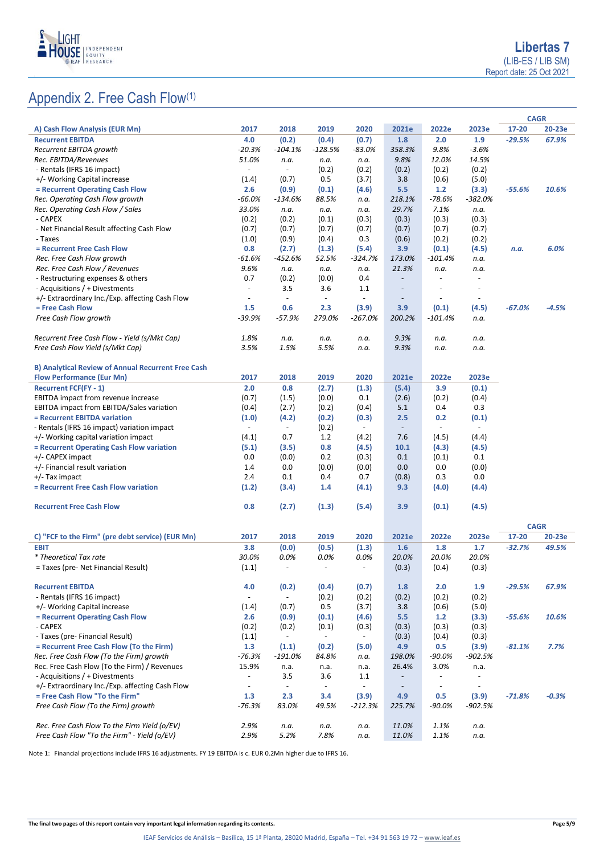

|                                                           |                          |                          |                          |                          |                          |                          |                          | <b>CAGR</b>          |         |
|-----------------------------------------------------------|--------------------------|--------------------------|--------------------------|--------------------------|--------------------------|--------------------------|--------------------------|----------------------|---------|
| A) Cash Flow Analysis (EUR Mn)                            | 2017                     | 2018                     | 2019                     | 2020                     | 2021e                    | 2022e                    | 2023e                    | 17-20                | 20-23e  |
| <b>Recurrent EBITDA</b>                                   | 4.0                      | (0.2)                    | (0.4)                    | (0.7)                    | 1.8                      | 2.0                      | 1.9                      | $-29.5%$             | 67.9%   |
| Recurrent EBITDA growth                                   | $-20.3%$                 | $-104.1%$                | $-128.5%$                | $-83.0%$                 | 358.3%                   | 9.8%                     | $-3.6%$                  |                      |         |
| Rec. EBITDA/Revenues                                      | 51.0%                    | n.a.                     | n.a.                     | n.a.                     | 9.8%                     | 12.0%                    | 14.5%                    |                      |         |
| - Rentals (IFRS 16 impact)                                | $\overline{\phantom{a}}$ | $\overline{\phantom{a}}$ | (0.2)                    | (0.2)                    | (0.2)                    | (0.2)                    | (0.2)                    |                      |         |
| +/- Working Capital increase                              | (1.4)                    | (0.7)                    | 0.5                      | (3.7)                    | 3.8                      | (0.6)                    | (5.0)                    |                      |         |
| = Recurrent Operating Cash Flow                           | 2.6                      | (0.9)                    | (0.1)                    | (4.6)                    | 5.5                      | $1.2$                    | (3.3)                    | $-55.6%$             | 10.6%   |
| Rec. Operating Cash Flow growth                           | $-66.0%$                 | -134.6%                  | 88.5%                    | n.a.                     | 218.1%                   | $-78.6%$                 | -382.0%                  |                      |         |
| Rec. Operating Cash Flow / Sales                          | 33.0%                    | n.a.                     | n.a.                     | n.a.                     | 29.7%                    | 7.1%                     | n.a.                     |                      |         |
| - CAPEX                                                   | (0.2)                    | (0.2)                    | (0.1)                    | (0.3)                    | (0.3)                    | (0.3)                    | (0.3)                    |                      |         |
| - Net Financial Result affecting Cash Flow                | (0.7)                    | (0.7)                    | (0.7)                    | (0.7)                    | (0.7)                    | (0.7)                    | (0.7)                    |                      |         |
| - Taxes                                                   | (1.0)                    | (0.9)                    | (0.4)                    | 0.3                      | (0.6)                    | (0.2)                    | (0.2)                    |                      |         |
| = Recurrent Free Cash Flow                                | 0.8                      | (2.7)                    | (1.3)                    | (5.4)                    | 3.9                      | (0.1)                    | (4.5)                    | n.a.                 | 6.0%    |
| Rec. Free Cash Flow growth                                | -61.6%                   | $-452.6%$                | 52.5%                    | -324.7%                  | 173.0%                   | -101.4%                  | n.a.                     |                      |         |
| Rec. Free Cash Flow / Revenues                            | 9.6%                     | n.a.                     | n.a.                     | n.a.                     | 21.3%                    | n.a.                     | n.a.                     |                      |         |
| - Restructuring expenses & others                         | 0.7                      | (0.2)                    | (0.0)                    | 0.4                      | $\overline{\phantom{a}}$ | $\overline{a}$           |                          |                      |         |
| - Acquisitions / + Divestments                            | $\blacksquare$           | 3.5                      | 3.6                      | 1.1                      | $\overline{\phantom{a}}$ |                          |                          |                      |         |
| +/- Extraordinary Inc./Exp. affecting Cash Flow           |                          | $\blacksquare$           | $\overline{\phantom{a}}$ | $\overline{\phantom{a}}$ | $\overline{\phantom{a}}$ | $\blacksquare$           | $\sim$                   |                      |         |
| = Free Cash Flow                                          | 1.5                      | 0.6                      | 2.3                      | (3.9)                    | 3.9                      | (0.1)                    | (4.5)                    | $-67.0%$             | $-4.5%$ |
| Free Cash Flow growth                                     | $-39.9%$                 | $-57.9%$                 | 279.0%                   | $-267.0%$                | 200.2%                   | $-101.4%$                | n.a.                     |                      |         |
| Recurrent Free Cash Flow - Yield (s/Mkt Cap)              | 1.8%                     | n.a.                     | n.a.                     | n.a.                     | 9.3%                     | n.a.                     | n.a.                     |                      |         |
| Free Cash Flow Yield (s/Mkt Cap)                          | 3.5%                     | 1.5%                     | 5.5%                     | n.a.                     | 9.3%                     | n.a.                     | n.a.                     |                      |         |
|                                                           |                          |                          |                          |                          |                          |                          |                          |                      |         |
| <b>B) Analytical Review of Annual Recurrent Free Cash</b> |                          |                          |                          |                          |                          |                          |                          |                      |         |
| <b>Flow Performance (Eur Mn)</b>                          | 2017                     | 2018                     | 2019                     | 2020                     | 2021e                    | 2022e                    | 2023e                    |                      |         |
| <b>Recurrent FCF(FY - 1)</b>                              | 2.0                      | 0.8                      | (2.7)                    | (1.3)                    | (5.4)                    | 3.9                      | (0.1)                    |                      |         |
| EBITDA impact from revenue increase                       | (0.7)                    | (1.5)                    | (0.0)                    | 0.1                      | (2.6)                    | (0.2)                    | (0.4)                    |                      |         |
| EBITDA impact from EBITDA/Sales variation                 | (0.4)                    | (2.7)                    | (0.2)                    | (0.4)                    | 5.1                      | 0.4                      | 0.3                      |                      |         |
| = Recurrent EBITDA variation                              | (1.0)                    | (4.2)                    | (0.2)                    | (0.3)                    | 2.5                      | 0.2                      | (0.1)                    |                      |         |
| - Rentals (IFRS 16 impact) variation impact               | $\overline{\phantom{a}}$ | $\overline{\phantom{a}}$ | (0.2)                    | $\overline{\phantom{a}}$ | $\overline{\phantom{a}}$ | $\overline{\phantom{a}}$ |                          |                      |         |
| +/- Working capital variation impact                      | (4.1)                    | 0.7                      | 1.2                      | (4.2)                    | 7.6                      | (4.5)                    | (4.4)                    |                      |         |
| = Recurrent Operating Cash Flow variation                 | (5.1)                    | (3.5)                    | 0.8                      | (4.5)                    | 10.1                     | (4.3)                    | (4.5)                    |                      |         |
| +/- CAPEX impact                                          | 0.0                      | (0.0)                    | 0.2                      | (0.3)                    | 0.1                      | (0.1)                    | 0.1                      |                      |         |
| +/- Financial result variation                            | 1.4                      | 0.0                      | (0.0)                    | (0.0)                    | 0.0                      | 0.0                      | (0.0)                    |                      |         |
| +/- Tax impact                                            | 2.4                      | 0.1                      | 0.4                      | 0.7                      | (0.8)                    | 0.3                      | 0.0                      |                      |         |
| = Recurrent Free Cash Flow variation                      | (1.2)                    | (3.4)                    | 1.4                      | (4.1)                    | 9.3                      | (4.0)                    | (4.4)                    |                      |         |
|                                                           |                          |                          |                          |                          |                          |                          |                          |                      |         |
| <b>Recurrent Free Cash Flow</b>                           | 0.8                      | (2.7)                    | (1.3)                    | (5.4)                    | 3.9                      | (0.1)                    | (4.5)                    |                      |         |
|                                                           |                          |                          |                          |                          |                          |                          |                          |                      |         |
| C) "FCF to the Firm" (pre debt service) (EUR Mn)          | 2017                     | 2018                     | 2019                     | 2020                     | 2021e                    | 2022e                    | 2023e                    | <b>CAGR</b><br>17-20 | 20-23e  |
| <b>EBIT</b>                                               | 3.8                      | (0.0)                    | (0.5)                    | (1.3)                    | 1.6                      | 1.8                      | 1.7                      | $-32.7%$             | 49.5%   |
| * Theoretical Tax rate                                    | 30.0%                    | 0.0%                     | 0.0%                     | 0.0%                     | 20.0%                    | 20.0%                    | 20.0%                    |                      |         |
| = Taxes (pre- Net Financial Result)                       | (1.1)                    |                          |                          |                          | (0.3)                    | (0.4)                    | (0.3)                    |                      |         |
|                                                           |                          |                          |                          |                          |                          |                          |                          |                      |         |
| <b>Recurrent EBITDA</b>                                   | 4.0                      | (0.2)                    | (0.4)                    | (0.7)                    | 1.8                      | 2.0                      | 1.9                      | $-29.5%$             | 67.9%   |
| - Rentals (IFRS 16 impact)                                | $\omega$                 | $\blacksquare$           | (0.2)                    | (0.2)                    | (0.2)                    | (0.2)                    | (0.2)                    |                      |         |
| +/- Working Capital increase                              | (1.4)                    | (0.7)                    | 0.5                      | (3.7)                    | 3.8                      | (0.6)                    | (5.0)                    |                      |         |
| = Recurrent Operating Cash Flow                           | 2.6                      | (0.9)                    | (0.1)                    | (4.6)                    | 5.5                      | $1.2$                    | (3.3)                    | $-55.6%$             | 10.6%   |
| - CAPEX                                                   | (0.2)                    | (0.2)                    | (0.1)                    | (0.3)                    | (0.3)                    | (0.3)                    | (0.3)                    |                      |         |
| - Taxes (pre- Financial Result)                           | (1.1)                    | $\overline{\phantom{a}}$ | $\overline{\phantom{a}}$ |                          | (0.3)                    | (0.4)                    | (0.3)                    |                      |         |
| = Recurrent Free Cash Flow (To the Firm)                  | 1.3                      | (1.1)                    | (0.2)                    | (5.0)                    | 4.9                      | 0.5                      | (3.9)                    | $-81.1%$             | 7.7%    |
| Rec. Free Cash Flow (To the Firm) growth                  | $-76.3%$                 | -191.0%                  | 84.8%                    | n.a.                     | 198.0%                   | $-90.0%$                 | -902.5%                  |                      |         |
| Rec. Free Cash Flow (To the Firm) / Revenues              | 15.9%                    | n.a.                     | n.a.                     | n.a.                     | 26.4%                    | 3.0%                     | n.a.                     |                      |         |
| - Acquisitions / + Divestments                            | $\overline{\phantom{a}}$ | 3.5                      | 3.6                      | 1.1                      | $\overline{\phantom{a}}$ | $\overline{\phantom{a}}$ |                          |                      |         |
| +/- Extraordinary Inc./Exp. affecting Cash Flow           | $\overline{\phantom{a}}$ | $\Box$                   | $\overline{\phantom{a}}$ |                          | $\overline{\phantom{a}}$ | $\overline{\phantom{a}}$ | $\overline{\phantom{a}}$ |                      |         |
| = Free Cash Flow "To the Firm"                            | 1.3                      | 2.3                      | 3.4                      | (3.9)                    | 4.9                      | 0.5                      | (3.9)                    | $-71.8%$             | $-0.3%$ |
| Free Cash Flow (To the Firm) growth                       | $-76.3%$                 | 83.0%                    | 49.5%                    | $-212.3%$                | 225.7%                   | -90.0%                   | -902.5%                  |                      |         |
|                                                           |                          |                          |                          |                          |                          |                          |                          |                      |         |
| Rec. Free Cash Flow To the Firm Yield (o/EV)              | 2.9%                     | n.a.                     | n.a.                     | n.a.                     | 11.0%                    | 1.1%                     | n.a.                     |                      |         |
| Free Cash Flow "To the Firm" - Yield (o/EV)               | 2.9%                     | 5.2%                     | 7.8%                     | n.a.                     | 11.0%                    | 1.1%                     | n.a.                     |                      |         |

Note 1: Financial projections include IFRS 16 adjustments. FY 19 EBITDA is c. EUR 0.2Mn higher due to IFRS 16.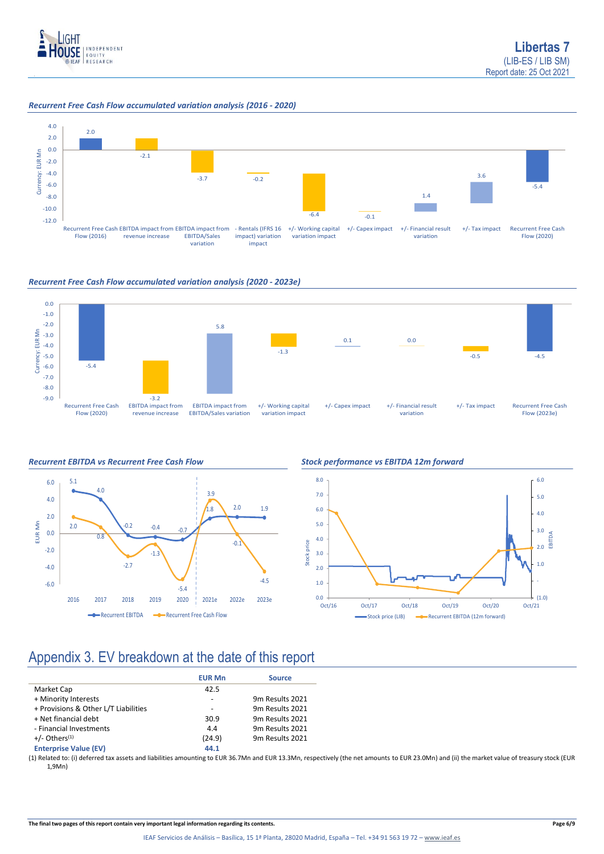

### *Recurrent Free Cash Flow accumulated variation analysis (2016 - 2020)*



### *Recurrent Free Cash Flow accumulated variation analysis (2020 - 2023e)*









## Appendix 3. EV breakdown at the date of this report

|                                      | <b>EUR Mn</b> | <b>Source</b>   |
|--------------------------------------|---------------|-----------------|
| Market Cap                           | 42.5          |                 |
| + Minority Interests                 | ٠             | 9m Results 2021 |
| + Provisions & Other L/T Liabilities |               | 9m Results 2021 |
| + Net financial debt                 | 30.9          | 9m Results 2021 |
| - Financial Investments              | 4.4           | 9m Results 2021 |
| $+/-$ Others <sup>(1)</sup>          | (24.9)        | 9m Results 2021 |
| <b>Enterprise Value (EV)</b>         | 44.1          |                 |

(1) Related to: (i) deferred tax assets and liabilities amounting to EUR 36.7Mn and EUR 13.3Mn, respectively (the net amounts to EUR 23.0Mn) and (ii) the market value of treasury stock (EUR 1,9Mn)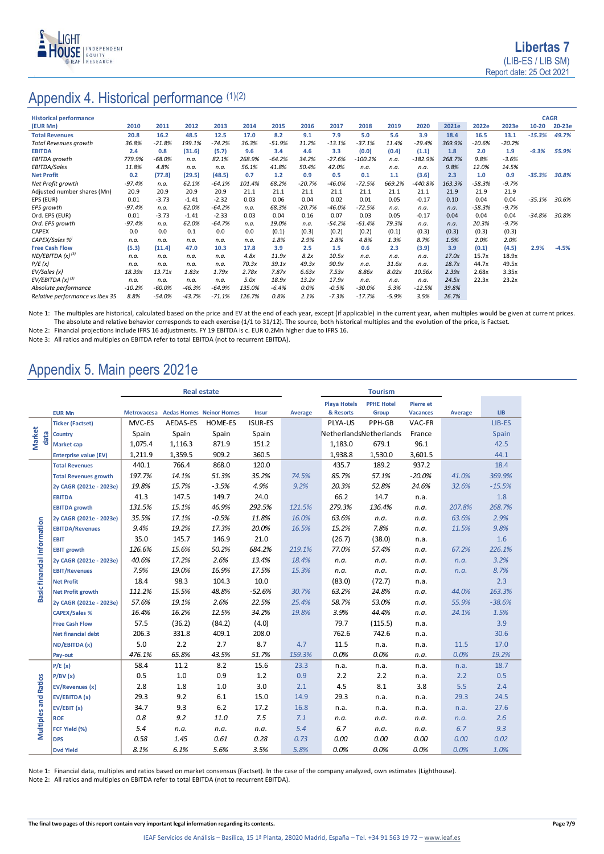

# Appendix 4. Historical performance (1)(2)

| <b>Historical performance</b>   |          |           |          |          |        |          |          |          |           |         |           |        |          |          |           | <b>CAGR</b> |
|---------------------------------|----------|-----------|----------|----------|--------|----------|----------|----------|-----------|---------|-----------|--------|----------|----------|-----------|-------------|
| (EUR Mn)                        | 2010     | 2011      | 2012     | 2013     | 2014   | 2015     | 2016     | 2017     | 2018      | 2019    | 2020      | 2021e  | 2022e    | 2023e    | $10 - 20$ | 20-23e      |
| <b>Total Revenues</b>           | 20.8     | 16.2      | 48.5     | 12.5     | 17.0   | 8.2      | 9.1      | 7.9      | 5.0       | 5.6     | 3.9       | 18.4   | 16.5     | 13.1     | $-15.3%$  | 49.7%       |
| <b>Total Revenues growth</b>    | 36.8%    | $-21.8%$  | 199.1%   | $-74.2%$ | 36.3%  | $-51.9%$ | 11.2%    | $-13.1%$ | $-37.1%$  | 11.4%   | $-29.4%$  | 369.9% | $-10.6%$ | $-20.2%$ |           |             |
| <b>EBITDA</b>                   | 2.4      | 0.8       | (31.6)   | (5.7)    | 9.6    | 3.4      | 4.6      | 3.3      | (0.0)     | (0.4)   | (1.1)     | 1.8    | 2.0      | 1.9      | $-9.3%$   | 55.9%       |
| EBITDA growth                   | 779.9%   | $-68.0%$  | n.a.     | 82.1%    | 268.9% | $-64.2%$ | 34.2%    | $-27.6%$ | $-100.2%$ | n.a.    | $-182.9%$ | 268.7% | 9.8%     | $-3.6%$  |           |             |
| EBITDA/Sales                    | 11.8%    | 4.8%      | n.a.     | n.a.     | 56.1%  | 41.8%    | 50.4%    | 42.0%    | n.a.      | n.a.    | n.a.      | 9.8%   | 12.0%    | 14.5%    |           |             |
| <b>Net Profit</b>               | 0.2      | (77.8)    | (29.5)   | (48.5)   | 0.7    | 1.2      | 0.9      | 0.5      | 0.1       | 1.1     | (3.6)     | 2.3    | 1.0      | 0.9      | $-35.3%$  | 30.8%       |
| Net Profit growth               | $-97.4%$ | n.a.      | 62.1%    | $-64.1%$ | 101.4% | 68.2%    | $-20.7%$ | $-46.0%$ | $-72.5%$  | 669.2%  | $-440.8%$ | 163.3% | $-58.3%$ | $-9.7%$  |           |             |
| Adjusted number shares (Mn)     | 20.9     | 20.9      | 20.9     | 20.9     | 21.1   | 21.1     | 21.1     | 21.1     | 21.1      | 21.1    | 21.1      | 21.9   | 21.9     | 21.9     |           |             |
| EPS (EUR)                       | 0.01     | $-3.73$   | $-1.41$  | $-2.32$  | 0.03   | 0.06     | 0.04     | 0.02     | 0.01      | 0.05    | $-0.17$   | 0.10   | 0.04     | 0.04     | $-35.1%$  | 30.6%       |
| EPS growth                      | $-97.4%$ | n.a.      | 62.0%    | $-64.2%$ | n.a.   | 68.3%    | $-20.7%$ | $-46.0%$ | $-72.5%$  | n.a.    | n.a.      | n.a.   | $-58.3%$ | $-9.7%$  |           |             |
| Ord. EPS (EUR)                  | 0.01     | $-3.73$   | $-1.41$  | $-2.33$  | 0.03   | 0.04     | 0.16     | 0.07     | 0.03      | 0.05    | $-0.17$   | 0.04   | 0.04     | 0.04     | $-34.8%$  | 30.8%       |
| Ord. EPS growth                 | $-97.4%$ | n.a.      | 62.0%    | $-64.7%$ | n.a.   | 19.0%    | n.a.     | $-54.2%$ | $-61.4%$  | 79.3%   | n.a.      | n.a.   | 20.3%    | $-9.7%$  |           |             |
| <b>CAPEX</b>                    | 0.0      | 0.0       | 0.1      | 0.0      | 0.0    | (0.1)    | (0.3)    | (0.2)    | (0.2)     | (0.1)   | (0.3)     | (0.3)  | (0.3)    | (0.3)    |           |             |
| CAPEX/Sales %                   | n.a.     | n.a.      | n.a.     | n.a.     | n.a.   | 1.8%     | 2.9%     | 2.8%     | 4.8%      | 1.3%    | 8.7%      | 1.5%   | 2.0%     | 2.0%     |           |             |
| <b>Free Cash Flow</b>           | (5.3)    | (11.4)    | 47.0     | 10.3     | 17.8   | 3.9      | 2.5      | 1.5      | 0.6       | 2.3     | (3.9)     | 3.9    | (0.1)    | (4.5)    | 2.9%      | $-4.5%$     |
| ND/EBITDA $(x)^{(3)}$           | n.a.     | n.a.      | n.a.     | n.a.     | 4.8x   | 11.9x    | 8.2x     | 10.5x    | n.a.      | n.a.    | n.a.      | 17.0x  | 15.7x    | 18.9x    |           |             |
| P/E(x)                          | n.a.     | n.a.      | n.a.     | n.a.     | 70.3x  | 39.1x    | 49.3x    | 90.9x    | n.a.      | 31.6x   | n.a.      | 18.7x  | 44.7x    | 49.5x    |           |             |
| EV/Sales (x)                    | 18.39x   | 13.71x    | 1.83x    | 1.79x    | 2.78x  | 7.87x    | 6.63x    | 7.53x    | 8.86x     | 8.02x   | 10.56x    | 2.39x  | 2.68x    | 3.35x    |           |             |
| EV/EBITDA $(x)^{(3)}$           | n.a.     | n.a.      | n.a.     | n.a.     | 5.0x   | 18.9x    | 13.2x    | 17.9x    | n.a.      | n.a.    | n.a.      | 24.5x  | 22.3x    | 23.2x    |           |             |
| Absolute performance            | $-10.2%$ | $-60.0\%$ | $-46.3%$ | $-64.9%$ | 135.0% | $-6.4%$  | 0.0%     | $-0.5%$  | $-30.0%$  | 5.3%    | $-12.5%$  | 39.8%  |          |          |           |             |
| Relative performance vs Ibex 35 | 8.8%     | $-54.0%$  | $-43.7%$ | $-71.1%$ | 126.7% | 0.8%     | 2.1%     | $-7.3%$  | $-17.7%$  | $-5.9%$ | 3.5%      | 26.7%  |          |          |           |             |

Note 1: The multiples are historical, calculated based on the price and EV at the end of each year, except (if applicable) in the current year, when multiples would be given at current prices. The absolute and relative behavior corresponds to each exercise (1/1 to 31/12). The source, both historical multiples and the evolution of the price, is Factset.

Note 2: Financial projections include IFRS 16 adjustments. FY 19 EBITDA is c. EUR 0.2Mn higher due to IFRS 16.

Note 3: All ratios and multiples on EBITDA refer to total EBITDA (not to recurrent EBITDA).

## Appendix 5. Main peers 2021e

|                             |                              | <b>Real estate</b> |                                      |                |                |                | <b>Tourism</b>         |                   |                  |         |            |
|-----------------------------|------------------------------|--------------------|--------------------------------------|----------------|----------------|----------------|------------------------|-------------------|------------------|---------|------------|
|                             |                              |                    |                                      |                |                |                | <b>Playa Hotels</b>    | <b>PPHE Hotel</b> | <b>Pierre</b> et |         |            |
|                             | <b>EUR Mn</b>                |                    | Metrovacesa Aedas Homes Neinor Homes |                | Insur          | <b>Average</b> | & Resorts              | Group             | <b>Vacances</b>  | Average | <b>LIB</b> |
|                             | <b>Ticker (Factset)</b>      | MVC-ES             | AEDAS-ES                             | <b>HOME-ES</b> | <b>ISUR-ES</b> |                | PLYA-US                | PPH-GB            | VAC-FR           |         | LIB-ES     |
| <b>Market</b><br>data       | Country                      | Spain              | Spain                                | Spain          | Spain          |                | NetherlandsNetherlands |                   | France           |         | Spain      |
|                             | <b>Market cap</b>            | 1,075.4            | 1,116.3                              | 871.9          | 151.2          |                | 1,183.0                | 679.1             | 96.1             |         | 42.5       |
|                             | <b>Enterprise value (EV)</b> | 1,211.9            | 1,359.5                              | 909.2          | 360.5          |                | 1,938.8                | 1,530.0           | 3,601.5          |         | 44.1       |
|                             | <b>Total Revenues</b>        | 440.1              | 766.4                                | 868.0          | 120.0          |                | 435.7                  | 189.2             | 937.2            |         | 18.4       |
|                             | <b>Total Revenues growth</b> | 197.7%             | 14.1%                                | 51.3%          | 35.2%          | 74.5%          | 85.7%                  | 57.1%             | $-20.0%$         | 41.0%   | 369.9%     |
|                             | 2y CAGR (2021e - 2023e)      | 19.8%              | 15.7%                                | $-3.5%$        | 4.9%           | 9.2%           | 20.3%                  | 52.8%             | 24.6%            | 32.6%   | $-15.5%$   |
|                             | <b>EBITDA</b>                | 41.3               | 147.5                                | 149.7          | 24.0           |                | 66.2                   | 14.7              | n.a.             |         | 1.8        |
|                             | <b>EBITDA</b> growth         | 131.5%             | 15.1%                                | 46.9%          | 292.5%         | 121.5%         | 279.3%                 | 136.4%            | n.a.             | 207.8%  | 268.7%     |
|                             | 2y CAGR (2021e - 2023e)      | 35.5%              | 17.1%                                | $-0.5%$        | 11.8%          | 16.0%          | 63.6%                  | n.a.              | n.a.             | 63.6%   | 2.9%       |
|                             | <b>EBITDA/Revenues</b>       | 9.4%               | 19.2%                                | 17.3%          | 20.0%          | 16.5%          | 15.2%                  | 7.8%              | n.a.             | 11.5%   | 9.8%       |
|                             | <b>EBIT</b>                  | 35.0               | 145.7                                | 146.9          | 21.0           |                | (26.7)                 | (38.0)            | n.a.             |         | 1.6        |
| Basic financial information | <b>EBIT growth</b>           | 126.6%             | 15.6%                                | 50.2%          | 684.2%         | 219.1%         | 77.0%                  | 57.4%             | n.a.             | 67.2%   | 226.1%     |
|                             | 2y CAGR (2021e - 2023e)      | 40.6%              | 17.2%                                | 2.6%           | 13.4%          | 18.4%          | n.a.                   | n.a.              | n.a.             | n.a.    | 3.2%       |
|                             | <b>EBIT/Revenues</b>         | 7.9%               | 19.0%                                | 16.9%          | 17.5%          | 15.3%          | n.a.                   | n.a.              | n.a.             | n.a.    | 8.7%       |
|                             | <b>Net Profit</b>            | 18.4               | 98.3                                 | 104.3          | 10.0           |                | (83.0)                 | (72.7)            | n.a.             |         | 2.3        |
|                             | <b>Net Profit growth</b>     | 111.2%             | 15.5%                                | 48.8%          | $-52.6%$       | 30.7%          | 63.2%                  | 24.8%             | n.a.             | 44.0%   | 163.3%     |
|                             | 2y CAGR (2021e - 2023e)      | 57.6%              | 19.1%                                | 2.6%           | 22.5%          | 25.4%          | 58.7%                  | 53.0%             | n.a.             | 55.9%   | $-38.6%$   |
|                             | <b>CAPEX/Sales %</b>         | 16.4%              | 16.2%                                | 12.5%          | 34.2%          | 19.8%          | 3.9%                   | 44.4%             | n.a.             | 24.1%   | 1.5%       |
|                             | <b>Free Cash Flow</b>        | 57.5               | (36.2)                               | (84.2)         | (4.0)          |                | 79.7                   | (115.5)           | n.a.             |         | 3.9        |
|                             | <b>Net financial debt</b>    | 206.3              | 331.8                                | 409.1          | 208.0          |                | 762.6                  | 742.6             | n.a.             |         | 30.6       |
|                             | ND/EBITDA (x)                | 5.0                | 2.2                                  | 2.7            | 8.7            | 4.7            | 11.5                   | n.a.              | n.a.             | 11.5    | 17.0       |
|                             | Pay-out                      | 476.1%             | 65.8%                                | 43.5%          | 51.7%          | 159.3%         | 0.0%                   | 0.0%              | n.a.             | 0.0%    | 19.2%      |
|                             | P/E(x)                       | 58.4               | 11.2                                 | 8.2            | 15.6           | 23.3           | n.a.                   | n.a.              | n.a.             | n.a.    | 18.7       |
|                             | P/BV(x)                      | 0.5                | 1.0                                  | 0.9            | 1.2            | 0.9            | 2.2                    | 2.2               | n.a.             | 2.2     | 0.5        |
| <b>Multiples and Ratios</b> | <b>EV/Revenues (x)</b>       | 2.8                | 1.8                                  | 1.0            | 3.0            | 2.1            | 4.5                    | 8.1               | 3.8              | 5.5     | 2.4        |
|                             | EV/EBITDA (x)                | 29.3               | 9.2                                  | 6.1            | 15.0           | 14.9           | 29.3                   | n.a.              | n.a.             | 29.3    | 24.5       |
|                             | EV/EBIT (x)                  | 34.7               | 9.3                                  | 6.2            | 17.2           | 16.8           | n.a.                   | n.a.              | n.a.             | n.a.    | 27.6       |
|                             | <b>ROE</b>                   | 0.8                | 9.2                                  | 11.0           | 7.5            | 7.1            | n.a.                   | n.a.              | n.a.             | n.a.    | 2.6        |
|                             | FCF Yield (%)                | 5.4                | n.a.                                 | n.a.           | n.a.           | 5.4            | 6.7                    | n.a.              | n.a.             | 6.7     | 9.3        |
|                             | <b>DPS</b>                   | 0.58               | 1.45                                 | 0.61           | 0.28           | 0.73           | 0.00                   | 0.00              | 0.00             | 0.00    | 0.02       |
|                             | <b>Dvd Yield</b>             | 8.1%               | 6.1%                                 | 5.6%           | 3.5%           | 5.8%           | 0.0%                   | 0.0%              | 0.0%             | 0.0%    | 1.0%       |

Note 1: Financial data, multiples and ratios based on market consensus (Factset). In the case of the company analyzed, own estimates (Lighthouse).

Note 2: All ratios and multiples on EBITDA refer to total EBITDA (not to recurrent EBITDA).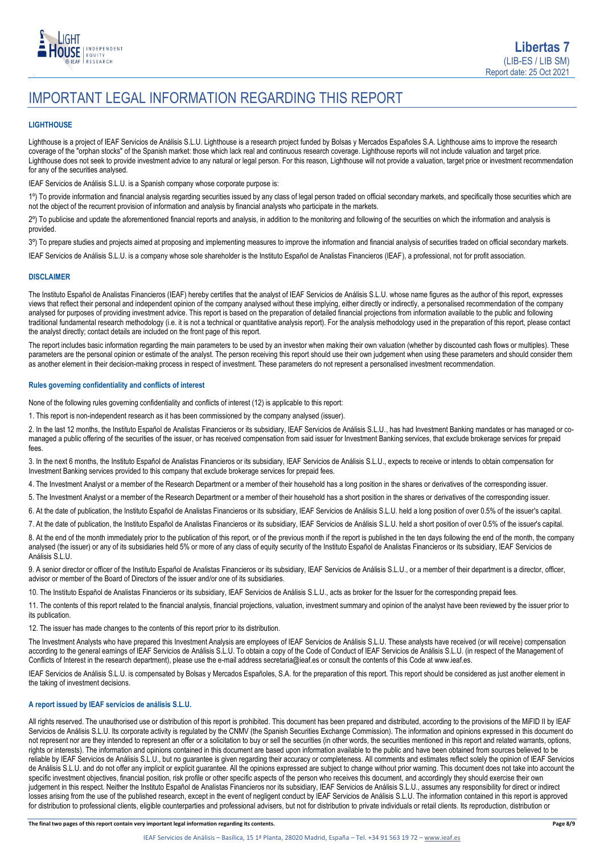

# IMPORTANT LEGAL INFORMATION REGARDING THIS REPORT

### **LIGHTHOUSE**

Lighthouse is a project of IEAF Servicios de Análisis S.L.U. Lighthouse is a research project funded by Bolsas y Mercados Españoles S.A. Lighthouse aims to improve the research coverage of the "orphan stocks" of the Spanish market: those which lack real and continuous research coverage. Lighthouse reports will not include valuation and target price. Lighthouse does not seek to provide investment advice to any natural or legal person. For this reason, Lighthouse will not provide a valuation, target price or investment recommendation for any of the securities analysed.

IEAF Servicios de Análisis S.L.U. is a Spanish company whose corporate purpose is:

1<sup>o</sup>) To provide information and financial analysis regarding securities issued by any class of legal person traded on official secondary markets, and specifically those securities which are not the object of the recurrent provision of information and analysis by financial analysts who participate in the markets.

2º) To publicise and update the aforementioned financial reports and analysis, in addition to the monitoring and following of the securities on which the information and analysis is provided.

3º) To prepare studies and projects aimed at proposing and implementing measures to improve the information and financial analysis of securities traded on official secondary markets.

IEAF Servicios de Análisis S.L.U. is a company whose sole shareholder is the Instituto Español de Analistas Financieros (IEAF), a professional, not for profit association.

### **DISCLAIMER**

The Instituto Español de Analistas Financieros (IEAF) hereby certifies that the analyst of IEAF Servicios de Análisis S.L.U. whose name figures as the author of this report, expresses views that reflect their personal and independent opinion of the company analysed without these implying, either directly or indirectly, a personalised recommendation of the company analysed for purposes of providing investment advice. This report is based on the preparation of detailed financial projections from information available to the public and following traditional fundamental research methodology (i.e. it is not a technical or quantitative analysis report). For the analysis methodology used in the preparation of this report, please contact the analyst directly; contact details are included on the front page of this report.

The report includes basic information regarding the main parameters to be used by an investor when making their own valuation (whether by discounted cash flows or multiples). These parameters are the personal opinion or estimate of the analyst. The person receiving this report should use their own judgement when using these parameters and should consider them as another element in their decision-making process in respect of investment. These parameters do not represent a personalised investment recommendation.

### **Rules governing confidentiality and conflicts of interest**

None of the following rules governing confidentiality and conflicts of interest (12) is applicable to this report:

1. This report is non-independent research as it has been commissioned by the company analysed (issuer).

2. In the last 12 months, the Instituto Español de Analistas Financieros or its subsidiary, IEAF Servicios de Análisis S.L.U., has had Investment Banking mandates or has managed or comanaged a public offering of the securities of the issuer, or has received compensation from said issuer for Investment Banking services, that exclude brokerage services for prepaid fees.

3. In the next 6 months, the Instituto Español de Analistas Financieros or its subsidiary, IEAF Servicios de Análisis S.L.U., expects to receive or intends to obtain compensation for Investment Banking services provided to this company that exclude brokerage services for prepaid fees.

4. The Investment Analyst or a member of the Research Department or a member of their household has a long position in the shares or derivatives of the corresponding issuer.

5. The Investment Analyst or a member of the Research Department or a member of their household has a short position in the shares or derivatives of the corresponding issuer.

6. At the date of publication, the Instituto Español de Analistas Financieros or its subsidiary, IEAF Servicios de Análisis S.L.U. held a long position of over 0.5% of the issuer's capital.

7. At the date of publication, the Instituto Español de Analistas Financieros or its subsidiary, IEAF Servicios de Análisis S.L.U. held a short position of over 0.5% of the issuer's capital.

8. At the end of the month immediately prior to the publication of this report, or of the previous month if the report is published in the ten days following the end of the month, the company analysed (the issuer) or any of its subsidiaries held 5% or more of any class of equity security of the Instituto Español de Analistas Financieros or its subsidiary, IEAF Servicios de Análisis S.L.U.

9. A senior director or officer of the Instituto Español de Analistas Financieros or its subsidiary, IEAF Servicios de Análisis S.L.U., or a member of their department is a director, officer, advisor or member of the Board of Directors of the issuer and/or one of its subsidiaries.

10. The Instituto Español de Analistas Financieros or its subsidiary, IEAF Servicios de Análisis S.L.U., acts as broker for the Issuer for the corresponding prepaid fees.

11. The contents of this report related to the financial analysis, financial projections, valuation, investment summary and opinion of the analyst have been reviewed by the issuer prior to its publication.

12. The issuer has made changes to the contents of this report prior to its distribution.

The Investment Analysts who have prepared this Investment Analysis are employees of IEAF Servicios de Análisis S.L.U. These analysts have received (or will receive) compensation according to the general earnings of IEAF Servicios de Análisis S.L.U. To obtain a copy of the Code of Conduct of IEAF Servicios de Análisis S.L.U. (in respect of the Management of Conflicts of Interest in the research department), please use the e-mail address secretaria@ieaf.es or consult the contents of this Code at [www.ieaf.es.](https://www.ieaf.es/images/IEAF/LIGHTHOUSE/IEAF_LIGHTHOUSE_CodigoDeConducta.pdf) 

IEAF Servicios de Análisis S.L.U. is compensated by Bolsas y Mercados Españoles, S.A. for the preparation of this report. This report should be considered as just another element in the taking of investment decisions.

### **A report issued by IEAF servicios de análisis S.L.U.**

All rights reserved. The unauthorised use or distribution of this report is prohibited. This document has been prepared and distributed, according to the provisions of the MiFID II by IEAF Servicios de Análisis S.L.U. Its corporate activity is regulated by the CNMV (the Spanish Securities Exchange Commission). The information and opinions expressed in this document do not represent nor are they intended to represent an offer or a solicitation to buy or sell the securities (in other words, the securities mentioned in this report and related warrants, options, rights or interests). The information and opinions contained in this document are based upon information available to the public and have been obtained from sources believed to be reliable by IEAF Servicios de Análisis S.L.U., but no guarantee is given regarding their accuracy or completeness. All comments and estimates reflect solely the opinion of IEAF Servicios de Análisis S.L.U. and do not offer any implicit or explicit guarantee. All the opinions expressed are subject to change without prior warning. This document does not take into account the specific investment objectives, financial position, risk profile or other specific aspects of the person who receives this document, and accordingly they should exercise their own judgement in this respect. Neither the Instituto Español de Analistas Financieros nor its subsidiary, IEAF Servicios de Análisis S.L.U., assumes any responsibility for direct or indirect losses arising from the use of the published research, except in the event of negligent conduct by IEAF Servicios de Análisis S.L.U. The information contained in this report is approved for distribution to professional clients, eligible counterparties and professional advisers, but not for distribution to private individuals or retail clients. Its reproduction, distribution or